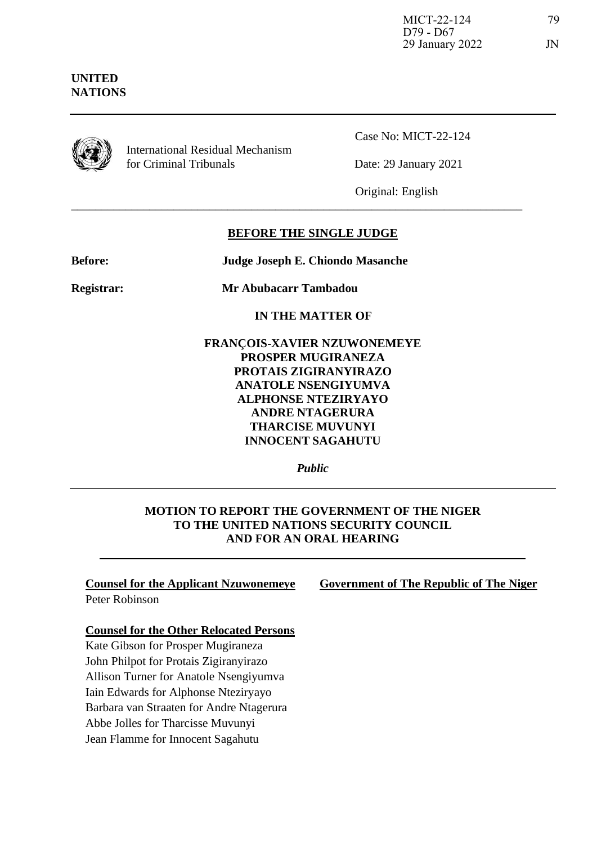## **UNITED NATIONS**



International Residual Mechanism for Criminal Tribunals Date: 29 January 2021

Case No: MICT-22-124

Original: English

## **BEFORE THE SINGLE JUDGE**

\_\_\_\_\_\_\_\_\_\_\_\_\_\_\_\_\_\_\_\_\_\_\_\_\_\_\_\_\_\_\_\_\_\_\_\_\_\_\_\_\_\_\_\_\_\_\_\_\_\_\_\_\_\_\_\_\_\_\_\_\_\_\_\_\_\_\_\_\_\_\_\_\_\_\_

**Before: Judge Joseph E. Chiondo Masanche**

**Registrar: Mr Abubacarr Tambadou**

**IN THE MATTER OF**

**FRANÇOIS-XAVIER NZUWONEMEYE PROSPER MUGIRANEZA PROTAIS ZIGIRANYIRAZO ANATOLE NSENGIYUMVA ALPHONSE NTEZIRYAYO ANDRE NTAGERURA THARCISE MUVUNYI INNOCENT SAGAHUTU**

*Public*

## **MOTION TO REPORT THE GOVERNMENT OF THE NIGER TO THE UNITED NATIONS SECURITY COUNCIL AND FOR AN ORAL HEARING**

# **Counsel for the Applicant Nzuwonemeye Government of The Republic of The Niger**

Peter Robinson

## **Counsel for the Other Relocated Persons**

Kate Gibson for Prosper Mugiraneza John Philpot for Protais Zigiranyirazo Allison Turner for Anatole Nsengiyumva Iain Edwards for Alphonse Nteziryayo Barbara van Straaten for Andre Ntagerura Abbe Jolles for Tharcisse Muvunyi Jean Flamme for Innocent Sagahutu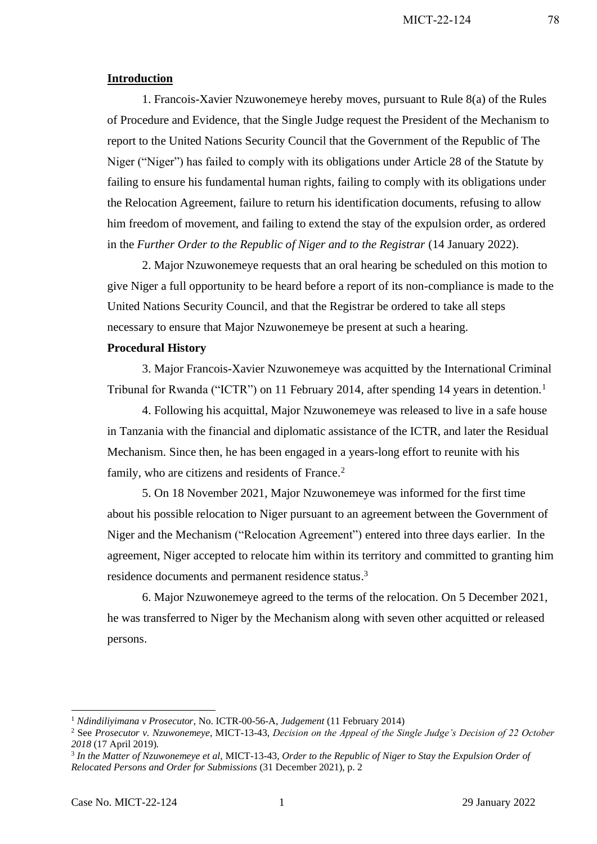#### **Introduction**

1. Francois-Xavier Nzuwonemeye hereby moves, pursuant to Rule 8(a) of the Rules of Procedure and Evidence, that the Single Judge request the President of the Mechanism to report to the United Nations Security Council that the Government of the Republic of The Niger ("Niger") has failed to comply with its obligations under Article 28 of the Statute by failing to ensure his fundamental human rights, failing to comply with its obligations under the Relocation Agreement, failure to return his identification documents, refusing to allow him freedom of movement, and failing to extend the stay of the expulsion order, as ordered in the *Further Order to the Republic of Niger and to the Registrar* (14 January 2022).

2. Major Nzuwonemeye requests that an oral hearing be scheduled on this motion to give Niger a full opportunity to be heard before a report of its non-compliance is made to the United Nations Security Council, and that the Registrar be ordered to take all steps necessary to ensure that Major Nzuwonemeye be present at such a hearing.

#### **Procedural History**

3. Major Francois-Xavier Nzuwonemeye was acquitted by the International Criminal Tribunal for Rwanda ("ICTR") on 11 February 2014, after spending 14 years in detention.<sup>1</sup>

4. Following his acquittal, Major Nzuwonemeye was released to live in a safe house in Tanzania with the financial and diplomatic assistance of the ICTR, and later the Residual Mechanism. Since then, he has been engaged in a years-long effort to reunite with his family, who are citizens and residents of France.<sup>2</sup>

5. On 18 November 2021, Major Nzuwonemeye was informed for the first time about his possible relocation to Niger pursuant to an agreement between the Government of Niger and the Mechanism ("Relocation Agreement") entered into three days earlier. In the agreement, Niger accepted to relocate him within its territory and committed to granting him residence documents and permanent residence status.<sup>3</sup>

6. Major Nzuwonemeye agreed to the terms of the relocation. On 5 December 2021, he was transferred to Niger by the Mechanism along with seven other acquitted or released persons.

<sup>1</sup> *Ndindiliyimana v Prosecutor*, No. ICTR-00-56-A, *Judgement* (11 February 2014)

<sup>2</sup> See *Prosecutor v. Nzuwonemeye,* MICT-13-43, *Decision on the Appeal of the Single Judge's Decision of 22 October 2018* (17 April 2019)*.*

<sup>3</sup> *In the Matter of Nzuwonemeye et al,* MICT-13-43, *Order to the Republic of Niger to Stay the Expulsion Order of Relocated Persons and Order for Submissions* (31 December 2021), p. 2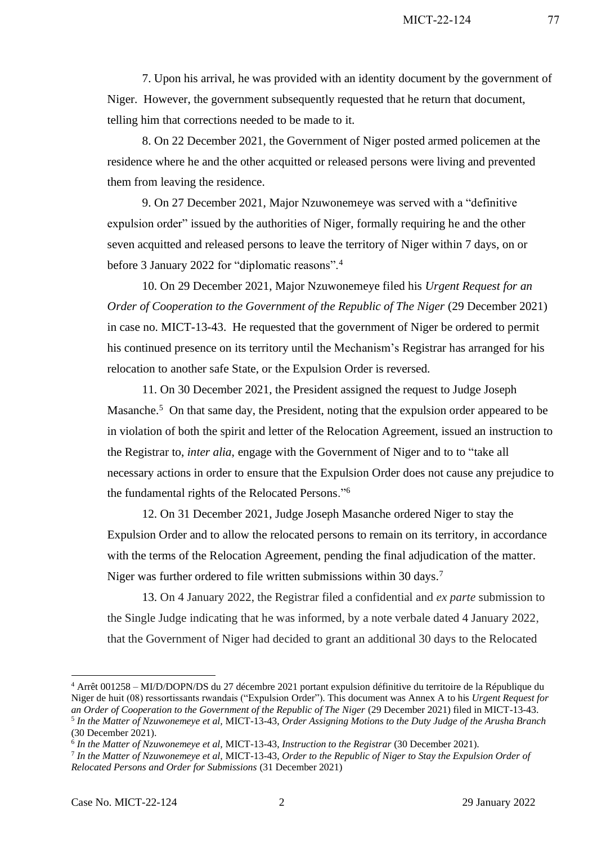7. Upon his arrival, he was provided with an identity document by the government of Niger. However, the government subsequently requested that he return that document, telling him that corrections needed to be made to it.

8. On 22 December 2021, the Government of Niger posted armed policemen at the residence where he and the other acquitted or released persons were living and prevented them from leaving the residence.

9. On 27 December 2021, Major Nzuwonemeye was served with a "definitive expulsion order" issued by the authorities of Niger, formally requiring he and the other seven acquitted and released persons to leave the territory of Niger within 7 days, on or before 3 January 2022 for "diplomatic reasons".<sup>4</sup>

10. On 29 December 2021, Major Nzuwonemeye filed his *Urgent Request for an Order of Cooperation to the Government of the Republic of The Niger (29 December 2021)* in case no. MICT-13-43. He requested that the government of Niger be ordered to permit his continued presence on its territory until the Mechanism's Registrar has arranged for his relocation to another safe State, or the Expulsion Order is reversed.

11. On 30 December 2021, the President assigned the request to Judge Joseph Masanche.<sup>5</sup> On that same day, the President, noting that the expulsion order appeared to be in violation of both the spirit and letter of the Relocation Agreement, issued an instruction to the Registrar to, *inter alia*, engage with the Government of Niger and to to "take all necessary actions in order to ensure that the Expulsion Order does not cause any prejudice to the fundamental rights of the Relocated Persons."<sup>6</sup>

12. On 31 December 2021, Judge Joseph Masanche ordered Niger to stay the Expulsion Order and to allow the relocated persons to remain on its territory, in accordance with the terms of the Relocation Agreement, pending the final adjudication of the matter. Niger was further ordered to file written submissions within 30 days.<sup>7</sup>

13. On 4 January 2022, the Registrar filed a confidential and *ex parte* submission to the Single Judge indicating that he was informed, by a note verbale dated 4 January 2022, that the Government of Niger had decided to grant an additional 30 days to the Relocated

<sup>4</sup> Arrêt 001258 – MI/D/DOPN/DS du 27 décembre 2021 portant expulsion définitive du territoire de la République du Niger de huit (08) ressortissants rwandais ("Expulsion Order"). This document was Annex A to his *Urgent Request for an Order of Cooperation to the Government of the Republic of The Niger* (29 December 2021) filed in MICT-13-43. 5 *In the Matter of Nzuwonemeye et al,* MICT-13-43, *Order Assigning Motions to the Duty Judge of the Arusha Branch* 

<sup>(30</sup> December 2021).

<sup>6</sup> *In the Matter of Nzuwonemeye et al,* MICT-13-43, *Instruction to the Registrar* (30 December 2021).

<sup>7</sup> *In the Matter of Nzuwonemeye et al,* MICT-13-43, *Order to the Republic of Niger to Stay the Expulsion Order of Relocated Persons and Order for Submissions* (31 December 2021)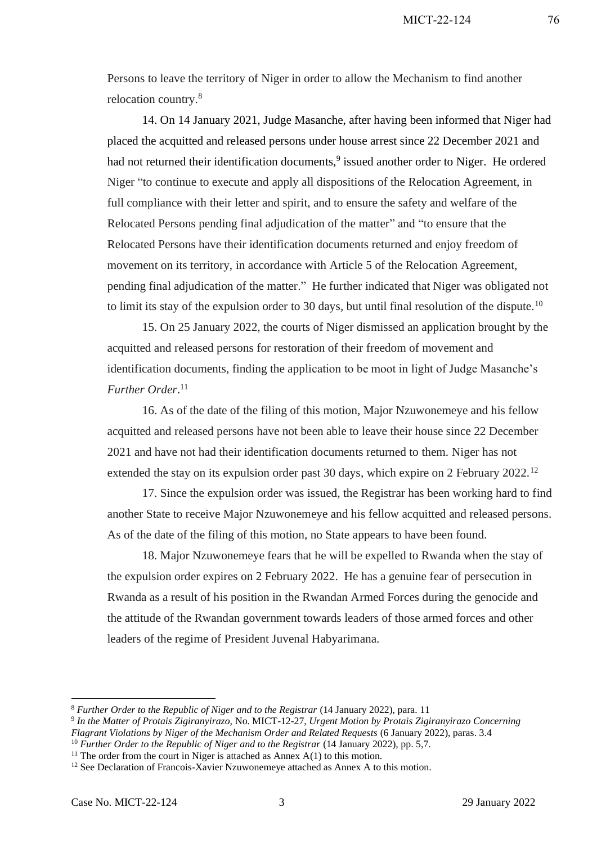Persons to leave the territory of Niger in order to allow the Mechanism to find another relocation country. 8

14. On 14 January 2021, Judge Masanche, after having been informed that Niger had placed the acquitted and released persons under house arrest since 22 December 2021 and had not returned their identification documents,<sup>9</sup> issued another order to Niger. He ordered Niger "to continue to execute and apply all dispositions of the Relocation Agreement, in full compliance with their letter and spirit, and to ensure the safety and welfare of the Relocated Persons pending final adjudication of the matter" and "to ensure that the Relocated Persons have their identification documents returned and enjoy freedom of movement on its territory, in accordance with Article 5 of the Relocation Agreement, pending final adjudication of the matter." He further indicated that Niger was obligated not to limit its stay of the expulsion order to 30 days, but until final resolution of the dispute.<sup>10</sup>

15. On 25 January 2022, the courts of Niger dismissed an application brought by the acquitted and released persons for restoration of their freedom of movement and identification documents, finding the application to be moot in light of Judge Masanche's *Further Order*. 11

16. As of the date of the filing of this motion, Major Nzuwonemeye and his fellow acquitted and released persons have not been able to leave their house since 22 December 2021 and have not had their identification documents returned to them. Niger has not extended the stay on its expulsion order past 30 days, which expire on 2 February 2022.<sup>12</sup>

17. Since the expulsion order was issued, the Registrar has been working hard to find another State to receive Major Nzuwonemeye and his fellow acquitted and released persons. As of the date of the filing of this motion, no State appears to have been found.

18. Major Nzuwonemeye fears that he will be expelled to Rwanda when the stay of the expulsion order expires on 2 February 2022. He has a genuine fear of persecution in Rwanda as a result of his position in the Rwandan Armed Forces during the genocide and the attitude of the Rwandan government towards leaders of those armed forces and other leaders of the regime of President Juvenal Habyarimana.

<sup>&</sup>lt;sup>8</sup> Further Order to the Republic of Niger and to the Registrar (14 January 2022), para. 11

<sup>9</sup> *In the Matter of Protais Zigiranyirazo,* No. MICT-12-27, *Urgent Motion by Protais Zigiranyirazo Concerning Flagrant Violations by Niger of the Mechanism Order and Related Requests* (6 January 2022), paras. 3.4 <sup>10</sup> Further Order to the Republic of Niger and to the Registrar (14 January 2022), pp. 5,7.

<sup>&</sup>lt;sup>11</sup> The order from the court in Niger is attached as Annex  $A(1)$  to this motion.

<sup>&</sup>lt;sup>12</sup> See Declaration of Francois-Xavier Nzuwonemeye attached as Annex A to this motion.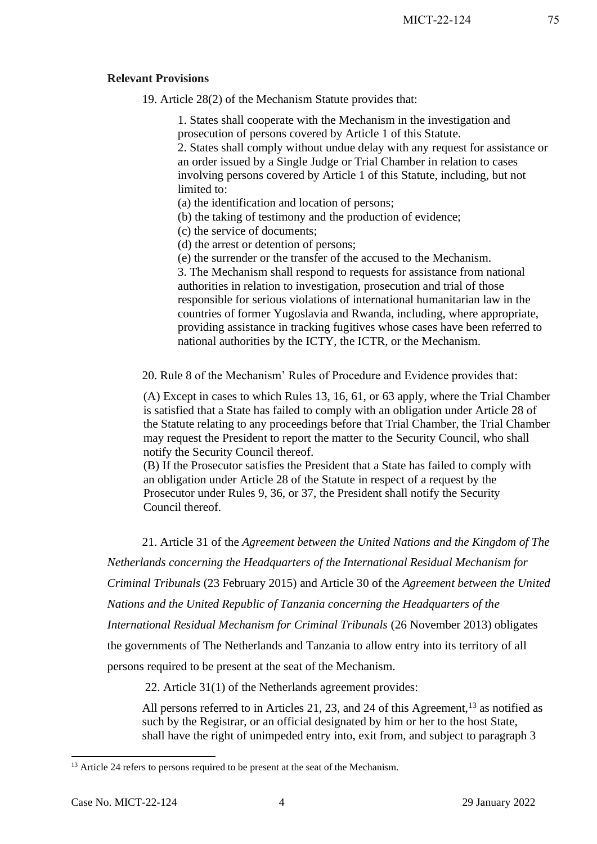#### **Relevant Provisions**

19. Article 28(2) of the Mechanism Statute provides that:

1. States shall cooperate with the Mechanism in the investigation and prosecution of persons covered by Article 1 of this Statute.

2. States shall comply without undue delay with any request for assistance or an order issued by a Single Judge or Trial Chamber in relation to cases involving persons covered by Article 1 of this Statute, including, but not limited to:

(a) the identification and location of persons;

(b) the taking of testimony and the production of evidence;

(c) the service of documents;

(d) the arrest or detention of persons;

(e) the surrender or the transfer of the accused to the Mechanism.

3. The Mechanism shall respond to requests for assistance from national authorities in relation to investigation, prosecution and trial of those responsible for serious violations of international humanitarian law in the countries of former Yugoslavia and Rwanda, including, where appropriate, providing assistance in tracking fugitives whose cases have been referred to national authorities by the ICTY, the ICTR, or the Mechanism.

20. Rule 8 of the Mechanism' Rules of Procedure and Evidence provides that:

(A) Except in cases to which Rules 13, 16, 61, or 63 apply, where the Trial Chamber is satisfied that a State has failed to comply with an obligation under Article 28 of the Statute relating to any proceedings before that Trial Chamber, the Trial Chamber may request the President to report the matter to the Security Council, who shall notify the Security Council thereof.

(B) If the Prosecutor satisfies the President that a State has failed to comply with an obligation under Article 28 of the Statute in respect of a request by the Prosecutor under Rules 9, 36, or 37, the President shall notify the Security Council thereof.

21. Article 31 of the *Agreement between the United Nations and the Kingdom of The* 

*Netherlands concerning the Headquarters of the International Residual Mechanism for Criminal Tribunals* (23 February 2015) and Article 30 of the *Agreement between the United Nations and the United Republic of Tanzania concerning the Headquarters of the International Residual Mechanism for Criminal Tribunals* (26 November 2013) obligates the governments of The Netherlands and Tanzania to allow entry into its territory of all persons required to be present at the seat of the Mechanism.

22. Article 31(1) of the Netherlands agreement provides:

All persons referred to in Articles 21, 23, and 24 of this Agreement,  $^{13}$  as notified as such by the Registrar, or an official designated by him or her to the host State, shall have the right of unimpeded entry into, exit from, and subject to paragraph 3

<sup>&</sup>lt;sup>13</sup> Article 24 refers to persons required to be present at the seat of the Mechanism.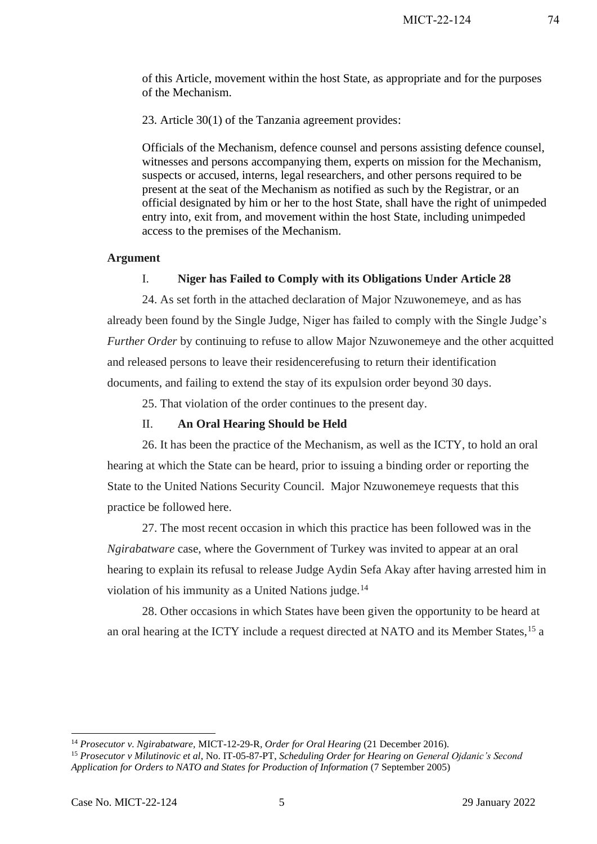of this Article, movement within the host State, as appropriate and for the purposes of the Mechanism.

23. Article 30(1) of the Tanzania agreement provides:

Officials of the Mechanism, defence counsel and persons assisting defence counsel, witnesses and persons accompanying them, experts on mission for the Mechanism, suspects or accused, interns, legal researchers, and other persons required to be present at the seat of the Mechanism as notified as such by the Registrar, or an official designated by him or her to the host State, shall have the right of unimpeded entry into, exit from, and movement within the host State, including unimpeded access to the premises of the Mechanism.

#### **Argument**

## I. **Niger has Failed to Comply with its Obligations Under Article 28**

24. As set forth in the attached declaration of Major Nzuwonemeye, and as has already been found by the Single Judge, Niger has failed to comply with the Single Judge's *Further Order* by continuing to refuse to allow Major Nzuwonemeye and the other acquitted and released persons to leave their residencerefusing to return their identification documents, and failing to extend the stay of its expulsion order beyond 30 days.

25. That violation of the order continues to the present day.

#### II. **An Oral Hearing Should be Held**

26. It has been the practice of the Mechanism, as well as the ICTY, to hold an oral hearing at which the State can be heard, prior to issuing a binding order or reporting the State to the United Nations Security Council. Major Nzuwonemeye requests that this practice be followed here.

27. The most recent occasion in which this practice has been followed was in the *Ngirabatware* case, where the Government of Turkey was invited to appear at an oral hearing to explain its refusal to release Judge Aydin Sefa Akay after having arrested him in violation of his immunity as a United Nations judge.<sup>14</sup>

28. Other occasions in which States have been given the opportunity to be heard at an oral hearing at the ICTY include a request directed at NATO and its Member States,<sup>15</sup> a

<sup>14</sup> *Prosecutor v. Ngirabatware,* MICT-12-29-R*, Order for Oral Hearing* (21 December 2016).

<sup>15</sup> *Prosecutor v Milutinovic et al*, No. IT-05-87-PT, *Scheduling Order for Hearing on General Ojdanic's Second Application for Orders to NATO and States for Production of Information* (7 September 2005)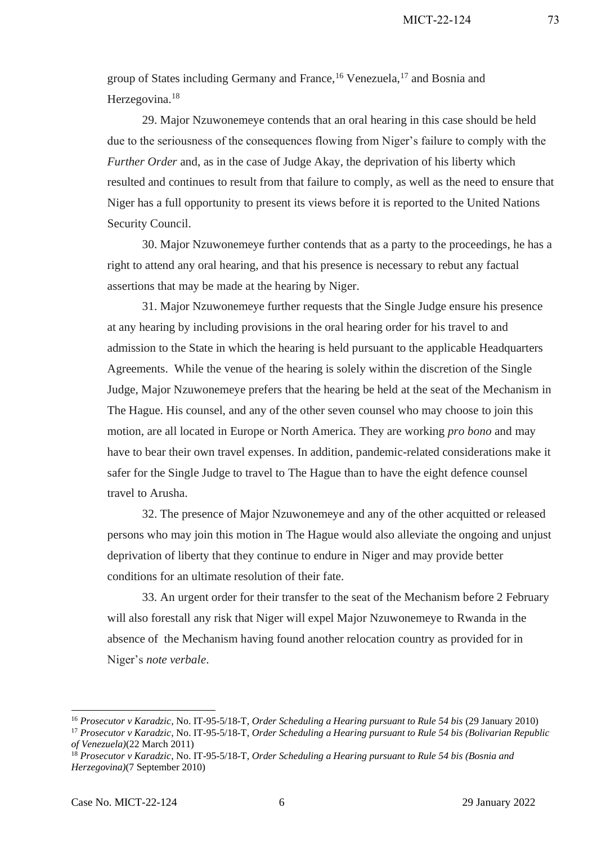group of States including Germany and France,<sup>16</sup> Venezuela,<sup>17</sup> and Bosnia and Herzegovina.<sup>18</sup>

29. Major Nzuwonemeye contends that an oral hearing in this case should be held due to the seriousness of the consequences flowing from Niger's failure to comply with the *Further Order* and, as in the case of Judge Akay, the deprivation of his liberty which resulted and continues to result from that failure to comply, as well as the need to ensure that Niger has a full opportunity to present its views before it is reported to the United Nations Security Council.

30. Major Nzuwonemeye further contends that as a party to the proceedings, he has a right to attend any oral hearing, and that his presence is necessary to rebut any factual assertions that may be made at the hearing by Niger.

31. Major Nzuwonemeye further requests that the Single Judge ensure his presence at any hearing by including provisions in the oral hearing order for his travel to and admission to the State in which the hearing is held pursuant to the applicable Headquarters Agreements. While the venue of the hearing is solely within the discretion of the Single Judge, Major Nzuwonemeye prefers that the hearing be held at the seat of the Mechanism in The Hague. His counsel, and any of the other seven counsel who may choose to join this motion, are all located in Europe or North America. They are working *pro bono* and may have to bear their own travel expenses. In addition, pandemic-related considerations make it safer for the Single Judge to travel to The Hague than to have the eight defence counsel travel to Arusha.

32. The presence of Major Nzuwonemeye and any of the other acquitted or released persons who may join this motion in The Hague would also alleviate the ongoing and unjust deprivation of liberty that they continue to endure in Niger and may provide better conditions for an ultimate resolution of their fate.

33. An urgent order for their transfer to the seat of the Mechanism before 2 February will also forestall any risk that Niger will expel Major Nzuwonemeye to Rwanda in the absence of the Mechanism having found another relocation country as provided for in Niger's *note verbale*.

<sup>16</sup> *Prosecutor v Karadzic*, No. IT-95-5/18-T, *Order Scheduling a Hearing pursuant to Rule 54 bis* (29 January 2010)

<sup>17</sup> *Prosecutor v Karadzic*, No. IT-95-5/18-T, *Order Scheduling a Hearing pursuant to Rule 54 bis (Bolivarian Republic of Venezuela)*(22 March 2011)

<sup>18</sup> *Prosecutor v Karadzic*, No. IT-95-5/18-T, *Order Scheduling a Hearing pursuant to Rule 54 bis (Bosnia and Herzegovina)*(7 September 2010)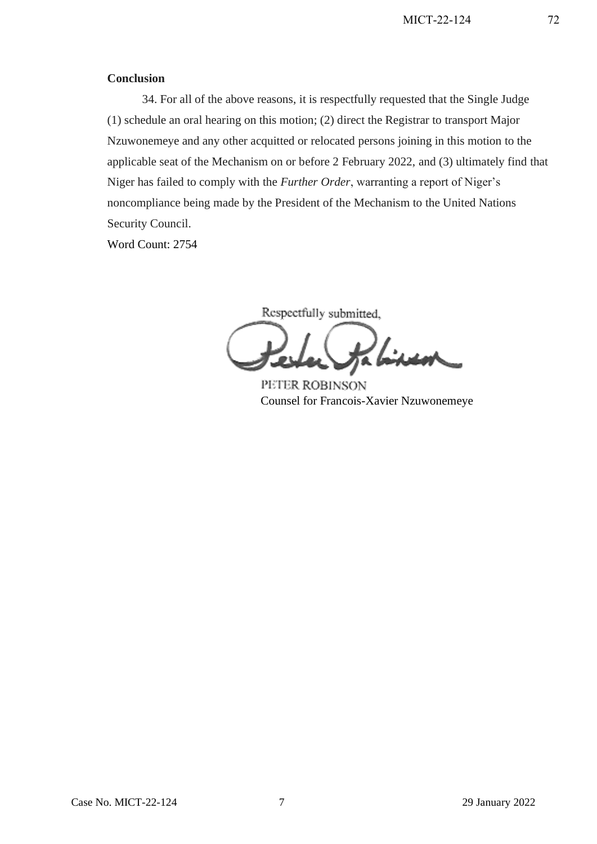#### **Conclusion**

34. For all of the above reasons, it is respectfully requested that the Single Judge (1) schedule an oral hearing on this motion; (2) direct the Registrar to transport Major Nzuwonemeye and any other acquitted or relocated persons joining in this motion to the applicable seat of the Mechanism on or before 2 February 2022, and (3) ultimately find that Niger has failed to comply with the *Further Order*, warranting a report of Niger's noncompliance being made by the President of the Mechanism to the United Nations Security Council.

Word Count: 2754

Respectfully submitted, ineon

PETER ROBINSON Counsel for Francois-Xavier Nzuwonemeye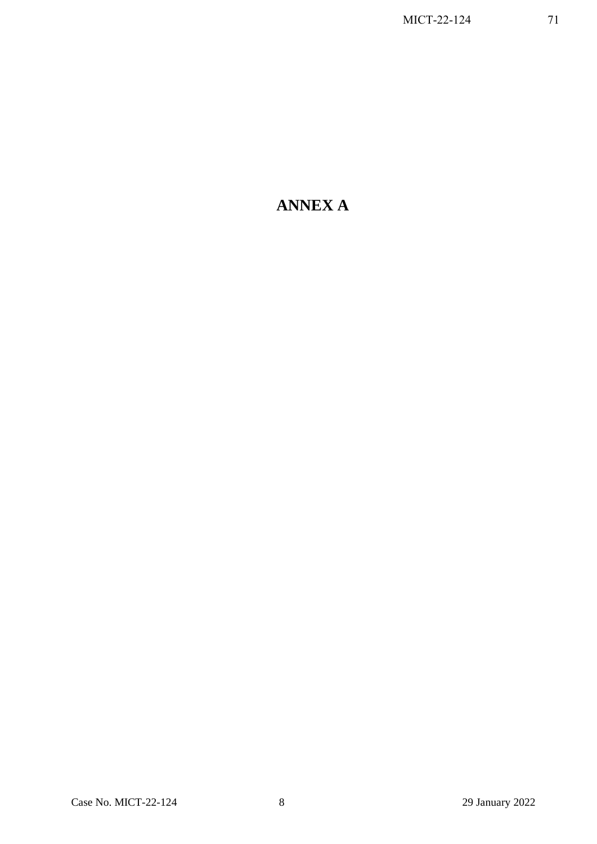# **ANNEX A**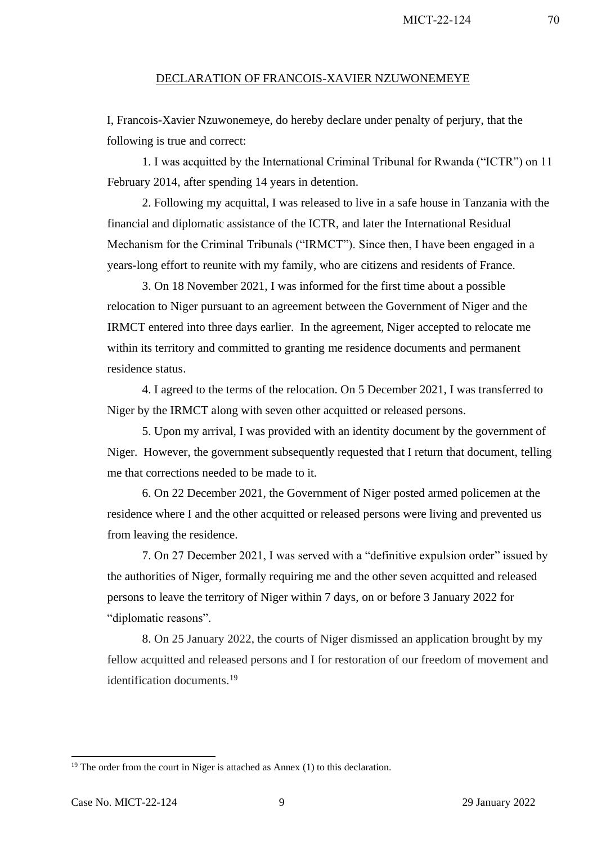MICT-22-124 70

### DECLARATION OF FRANCOIS-XAVIER NZUWONEMEYE

I, Francois-Xavier Nzuwonemeye, do hereby declare under penalty of perjury, that the following is true and correct:

1. I was acquitted by the International Criminal Tribunal for Rwanda ("ICTR") on 11 February 2014, after spending 14 years in detention.

2. Following my acquittal, I was released to live in a safe house in Tanzania with the financial and diplomatic assistance of the ICTR, and later the International Residual Mechanism for the Criminal Tribunals ("IRMCT"). Since then, I have been engaged in a years-long effort to reunite with my family, who are citizens and residents of France.

3. On 18 November 2021, I was informed for the first time about a possible relocation to Niger pursuant to an agreement between the Government of Niger and the IRMCT entered into three days earlier. In the agreement, Niger accepted to relocate me within its territory and committed to granting me residence documents and permanent residence status.

4. I agreed to the terms of the relocation. On 5 December 2021, I was transferred to Niger by the IRMCT along with seven other acquitted or released persons.

5. Upon my arrival, I was provided with an identity document by the government of Niger. However, the government subsequently requested that I return that document, telling me that corrections needed to be made to it.

6. On 22 December 2021, the Government of Niger posted armed policemen at the residence where I and the other acquitted or released persons were living and prevented us from leaving the residence.

7. On 27 December 2021, I was served with a "definitive expulsion order" issued by the authorities of Niger, formally requiring me and the other seven acquitted and released persons to leave the territory of Niger within 7 days, on or before 3 January 2022 for "diplomatic reasons".

8. On 25 January 2022, the courts of Niger dismissed an application brought by my fellow acquitted and released persons and I for restoration of our freedom of movement and identification documents.<sup>19</sup>

 $19$  The order from the court in Niger is attached as Annex (1) to this declaration.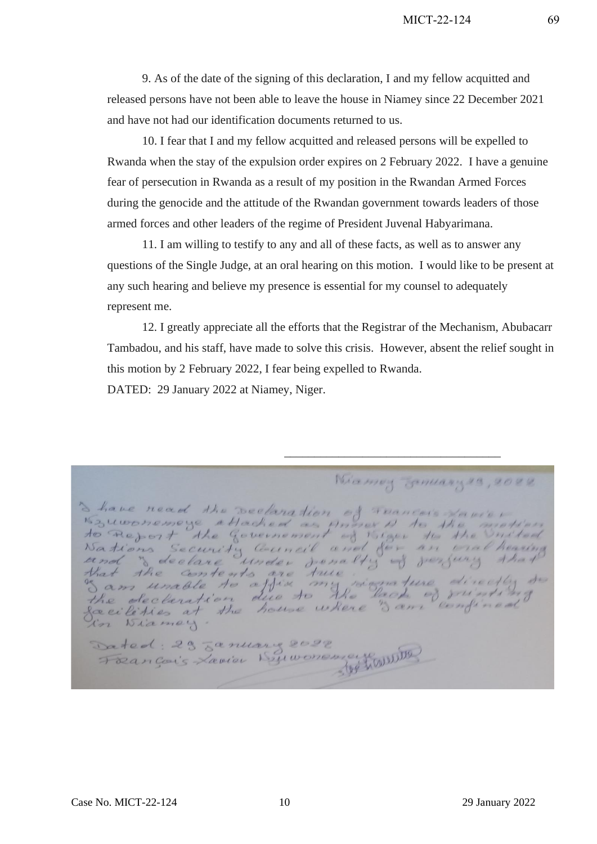9. As of the date of the signing of this declaration, I and my fellow acquitted and released persons have not been able to leave the house in Niamey since 22 December 2021 and have not had our identification documents returned to us.

10. I fear that I and my fellow acquitted and released persons will be expelled to Rwanda when the stay of the expulsion order expires on 2 February 2022. I have a genuine fear of persecution in Rwanda as a result of my position in the Rwandan Armed Forces during the genocide and the attitude of the Rwandan government towards leaders of those armed forces and other leaders of the regime of President Juvenal Habyarimana.

11. I am willing to testify to any and all of these facts, as well as to answer any questions of the Single Judge, at an oral hearing on this motion. I would like to be present at any such hearing and believe my presence is essential for my counsel to adequately represent me.

12. I greatly appreciate all the efforts that the Registrar of the Mechanism, Abubacarr Tambadou, and his staff, have made to solve this crisis. However, absent the relief sought in this motion by 2 February 2022, I fear being expelled to Rwanda.

\_\_\_\_\_\_\_\_\_\_\_\_\_\_\_\_\_\_\_\_\_\_\_\_\_\_\_\_\_\_\_\_\_\_\_\_

DATED: 29 January 2022 at Niamey, Niger.

Miamoy January 29, 2022 Shave nead the sectionation of Trancers Navier<br>Kywonemeye attached as Anner A to the motion<br>to Refort the Government of Kiger to the United<br>Nations Security Council and for an one hearing<br>and " declare under from the perfu Dated: 29 Lanuary 2022 Foançois Xavier Buwonen e MONDIER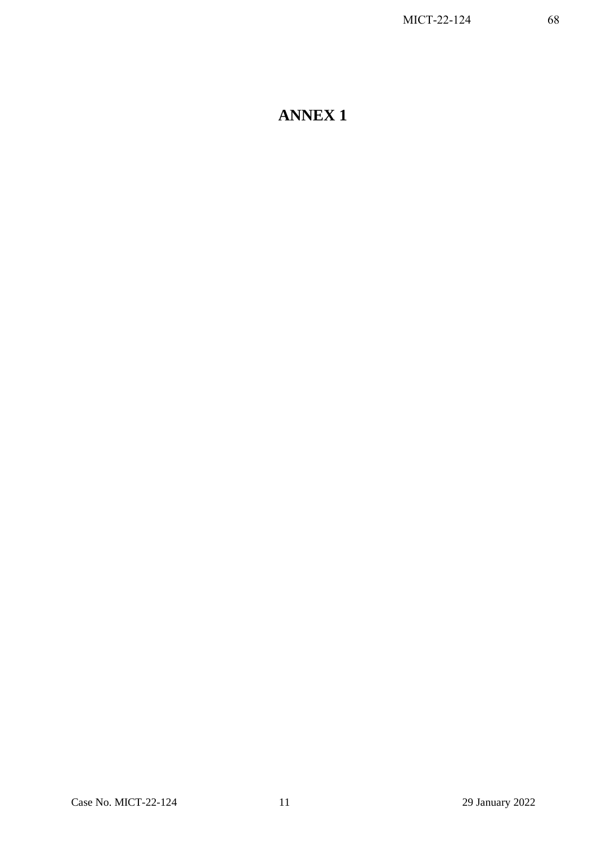## **ANNEX 1**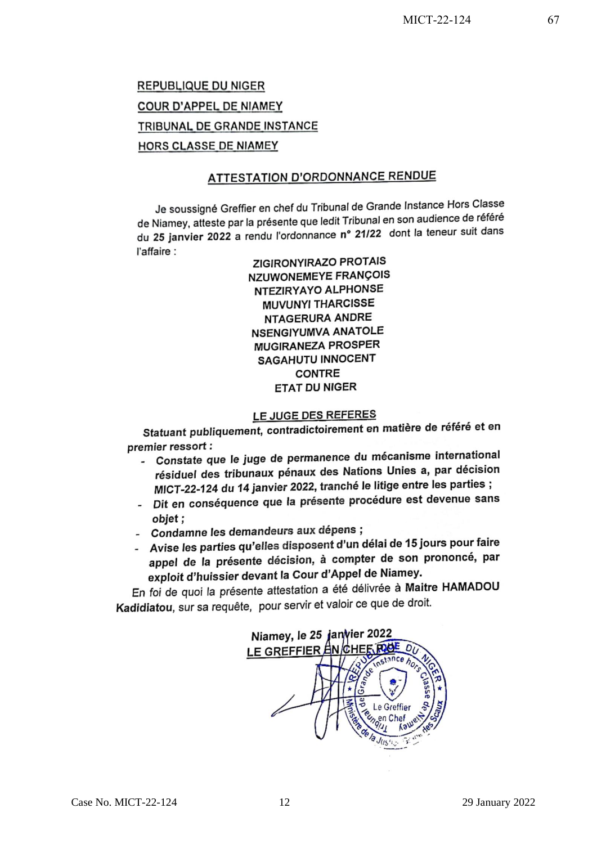## **REPUBLIQUE DU NIGER** COUR D'APPEL DE NIAMEY TRIBUNAL DE GRANDE INSTANCE **HORS CLASSE DE NIAMEY**

## **ATTESTATION D'ORDONNANCE RENDUE**

Je soussigné Greffier en chef du Tribunal de Grande Instance Hors Classe de Niamey, atteste par la présente que ledit Tribunal en son audience de référé de Niamey, alleste par la presente que louit mountaine en en la teneur suit dans l'affaire :

**ZIGIRONYIRAZO PROTAIS NZUWONEMEYE FRANÇOIS** NTEZIRYAYO ALPHONSE **MUVUNYI THARCISSE NTAGERURA ANDRE NSENGIYUMVA ANATOLE** MUGIRANEZA PROSPER **SAGAHUTU INNOCENT CONTRE ETAT DU NIGER** 

## LE JUGE DES REFERES

Statuant publiquement, contradictoirement en matière de référé et en premier ressort:

- emier ressort :<br>- Constate que le juge de permanence du mécanisme international résiduel des tribunaux pénaux des Nations Unies a, par décision MICT-22-124 du 14 janvier 2022, tranché le litige entre les parties ;
- Dit en conséquence que la présente procédure est devenue sans objet;
- Condamne les demandeurs aux dépens ;
- Condamne les demandeurs des reports. appel de la présente décision, à compter de son prononcé, par exploit d'huissier devant la Cour d'Appel de Niamey.

En foi de quoi la présente attestation a été délivrée à Maitre HAMADOU Kadidiatou, sur sa requête, pour servir et valoir ce que de droit.